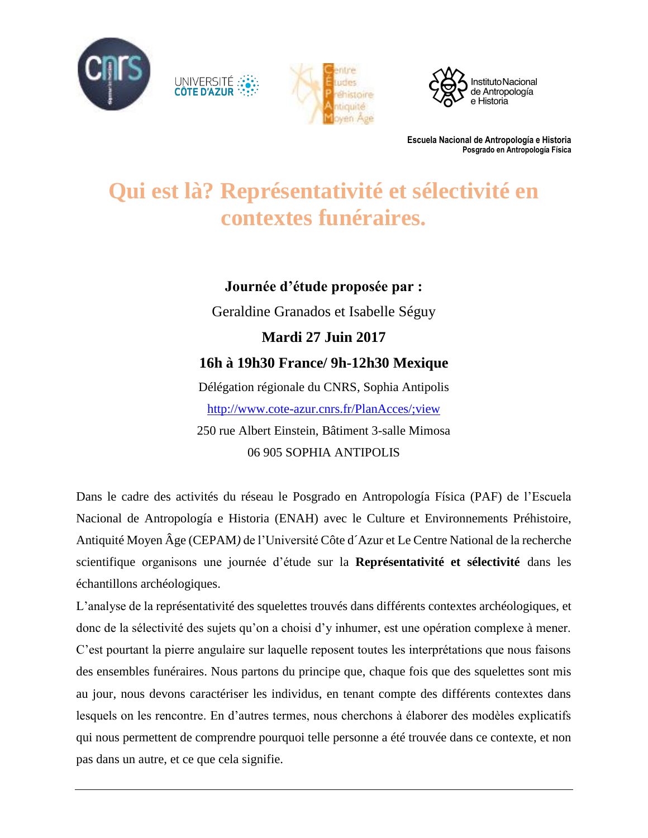

UNIVERSITÉ





**Escuela Nacional de Antropología e Historia Posgrado en Antropología Física**

## **Qui est là? Représentativité et sélectivité en contextes funéraires.**

## **Journée d'étude proposée par :** Geraldine Granados et Isabelle Séguy **Mardi 27 Juin 2017**

# **16h à 19h30 France/ 9h-12h30 Mexique**

Délégation régionale du CNRS, Sophia Antipolis <http://www.cote-azur.cnrs.fr/PlanAcces/;view> 250 rue Albert Einstein, Bâtiment 3-salle Mimosa 06 905 SOPHIA ANTIPOLIS

Dans le cadre des activités du réseau le Posgrado en Antropología Física (PAF) de l'Escuela Nacional de Antropología e Historia (ENAH) avec le Culture et Environnements Préhistoire, Antiquité Moyen Âge (CEPAM*)* de l'Université Côte d´Azur et Le Centre National de la recherche scientifique organisons une journée d'étude sur la **Représentativité et sélectivité** dans les échantillons archéologiques.

L'analyse de la représentativité des squelettes trouvés dans différents contextes archéologiques, et donc de la sélectivité des sujets qu'on a choisi d'y inhumer, est une opération complexe à mener. C'est pourtant la pierre angulaire sur laquelle reposent toutes les interprétations que nous faisons des ensembles funéraires. Nous partons du principe que, chaque fois que des squelettes sont mis au jour, nous devons caractériser les individus, en tenant compte des différents contextes dans lesquels on les rencontre. En d'autres termes, nous cherchons à élaborer des modèles explicatifs qui nous permettent de comprendre pourquoi telle personne a été trouvée dans ce contexte, et non pas dans un autre, et ce que cela signifie.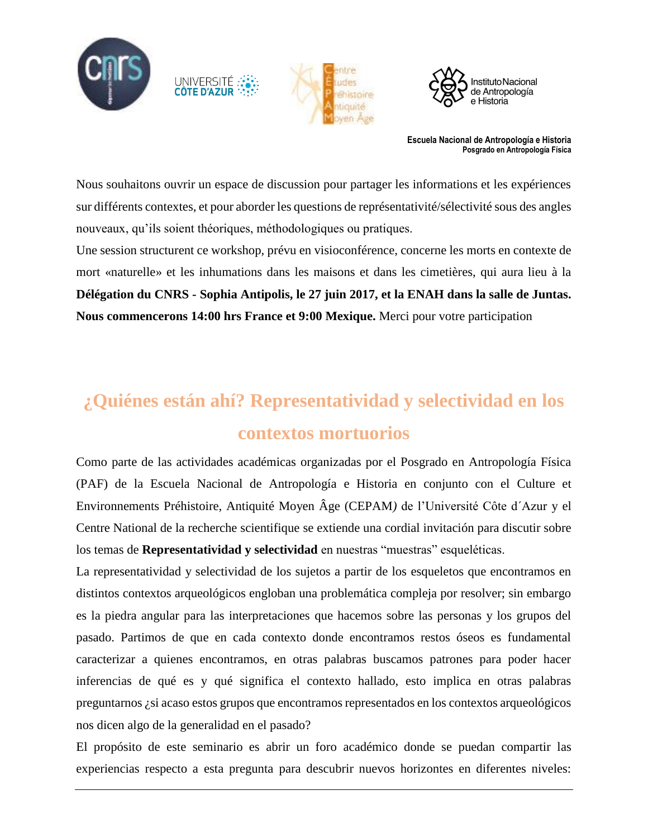

UNIVERSITÉ



**Escuela Nacional de Antropología e Historia Posgrado en Antropología Física**

Nous souhaitons ouvrir un espace de discussion pour partager les informations et les expériences sur différents contextes, et pour aborder les questions de représentativité/sélectivité sous des angles nouveaux, qu'ils soient théoriques, méthodologiques ou pratiques.

Une session structurent ce workshop, prévu en visioconférence, concerne les morts en contexte de mort «naturelle» et les inhumations dans les maisons et dans les cimetières, qui aura lieu à la **Délégation du CNRS - Sophia Antipolis, le 27 juin 2017, et la ENAH dans la salle de Juntas. Nous commencerons 14:00 hrs France et 9:00 Mexique.** Merci pour votre participation

## **¿Quiénes están ahí? Representatividad y selectividad en los contextos mortuorios**

Como parte de las actividades académicas organizadas por el Posgrado en Antropología Física (PAF) de la Escuela Nacional de Antropología e Historia en conjunto con el Culture et Environnements Préhistoire, Antiquité Moyen Âge (CEPAM*)* de l'Université Côte d´Azur y el Centre National de la recherche scientifique se extiende una cordial invitación para discutir sobre los temas de **Representatividad y selectividad** en nuestras "muestras" esqueléticas.

La representatividad y selectividad de los sujetos a partir de los esqueletos que encontramos en distintos contextos arqueológicos engloban una problemática compleja por resolver; sin embargo es la piedra angular para las interpretaciones que hacemos sobre las personas y los grupos del pasado. Partimos de que en cada contexto donde encontramos restos óseos es fundamental caracterizar a quienes encontramos, en otras palabras buscamos patrones para poder hacer inferencias de qué es y qué significa el contexto hallado, esto implica en otras palabras preguntarnos ¿si acaso estos grupos que encontramos representados en los contextos arqueológicos nos dicen algo de la generalidad en el pasado?

El propósito de este seminario es abrir un foro académico donde se puedan compartir las experiencias respecto a esta pregunta para descubrir nuevos horizontes en diferentes niveles: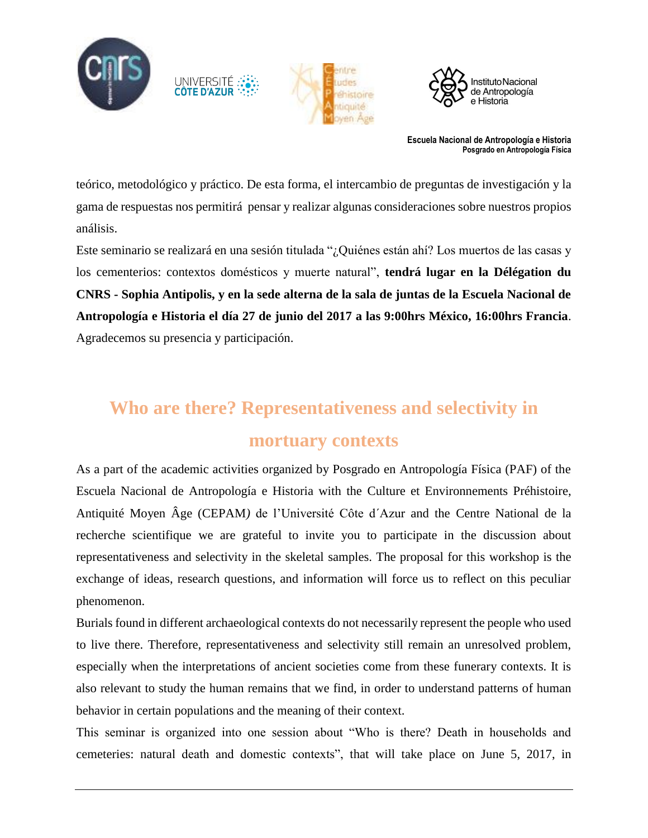

UNIVERSITÉ



**Escuela Nacional de Antropología e Historia Posgrado en Antropología Física**

teórico, metodológico y práctico. De esta forma, el intercambio de preguntas de investigación y la gama de respuestas nos permitirá pensar y realizar algunas consideraciones sobre nuestros propios análisis.

Este seminario se realizará en una sesión titulada "¿Quiénes están ahí? Los muertos de las casas y los cementerios: contextos domésticos y muerte natural", **tendrá lugar en la Délégation du CNRS - Sophia Antipolis, y en la sede alterna de la sala de juntas de la Escuela Nacional de Antropología e Historia el día 27 de junio del 2017 a las 9:00hrs México, 16:00hrs Francia**. Agradecemos su presencia y participación.

# **Who are there? Representativeness and selectivity in**

### **mortuary contexts**

As a part of the academic activities organized by Posgrado en Antropología Física (PAF) of the Escuela Nacional de Antropología e Historia with the Culture et Environnements Préhistoire, Antiquité Moyen Âge (CEPAM*)* de l'Université Côte d´Azur and the Centre National de la recherche scientifique we are grateful to invite you to participate in the discussion about representativeness and selectivity in the skeletal samples. The proposal for this workshop is the exchange of ideas, research questions, and information will force us to reflect on this peculiar phenomenon.

Burials found in different archaeological contexts do not necessarily represent the people who used to live there. Therefore, representativeness and selectivity still remain an unresolved problem, especially when the interpretations of ancient societies come from these funerary contexts. It is also relevant to study the human remains that we find, in order to understand patterns of human behavior in certain populations and the meaning of their context.

This seminar is organized into one session about "Who is there? Death in households and cemeteries: natural death and domestic contexts", that will take place on June 5, 2017, in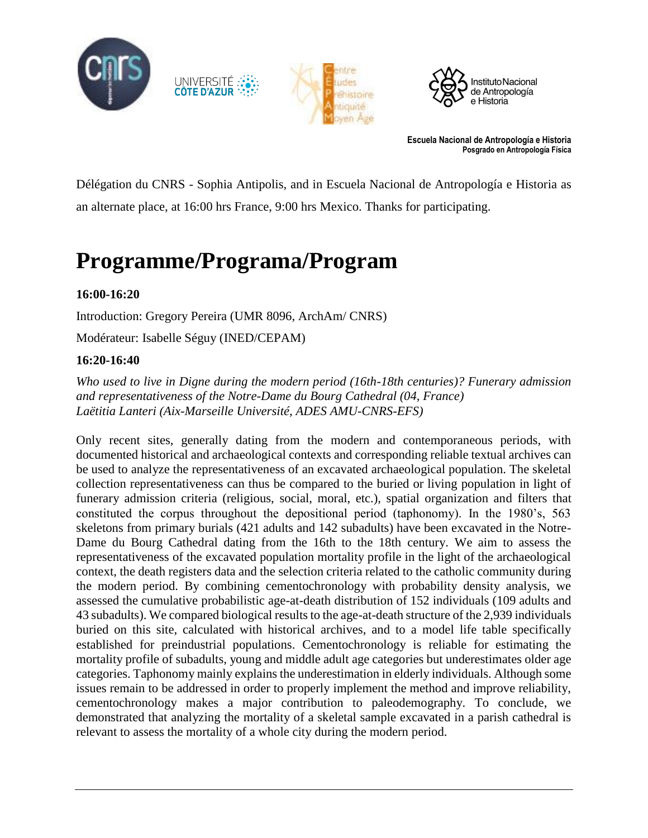

UNIVERSITÉ<br>CÔTE D'AZUR





**Escuela Nacional de Antropología e Historia Posgrado en Antropología Física**

Délégation du CNRS - Sophia Antipolis, and in Escuela Nacional de Antropología e Historia as an alternate place, at 16:00 hrs France, 9:00 hrs Mexico. Thanks for participating.

## **Programme/Programa/Program**

#### **16:00-16:20**

Introduction: Gregory Pereira (UMR 8096, ArchAm/ CNRS)

Modérateur: Isabelle Séguy (INED/CEPAM)

#### **16:20-16:40**

*Who used to live in Digne during the modern period (16th-18th centuries)? Funerary admission and representativeness of the Notre-Dame du Bourg Cathedral (04, France) Laëtitia Lanteri (Aix-Marseille Université, ADES AMU-CNRS-EFS)*

Only recent sites, generally dating from the modern and contemporaneous periods, with documented historical and archaeological contexts and corresponding reliable textual archives can be used to analyze the representativeness of an excavated archaeological population. The skeletal collection representativeness can thus be compared to the buried or living population in light of funerary admission criteria (religious, social, moral, etc.), spatial organization and filters that constituted the corpus throughout the depositional period (taphonomy). In the 1980's, 563 skeletons from primary burials (421 adults and 142 subadults) have been excavated in the Notre-Dame du Bourg Cathedral dating from the 16th to the 18th century. We aim to assess the representativeness of the excavated population mortality profile in the light of the archaeological context, the death registers data and the selection criteria related to the catholic community during the modern period. By combining cementochronology with probability density analysis, we assessed the cumulative probabilistic age-at-death distribution of 152 individuals (109 adults and 43 subadults). We compared biological results to the age-at-death structure of the 2,939 individuals buried on this site, calculated with historical archives, and to a model life table specifically established for preindustrial populations. Cementochronology is reliable for estimating the mortality profile of subadults, young and middle adult age categories but underestimates older age categories. Taphonomy mainly explains the underestimation in elderly individuals. Although some issues remain to be addressed in order to properly implement the method and improve reliability, cementochronology makes a major contribution to paleodemography. To conclude, we demonstrated that analyzing the mortality of a skeletal sample excavated in a parish cathedral is relevant to assess the mortality of a whole city during the modern period.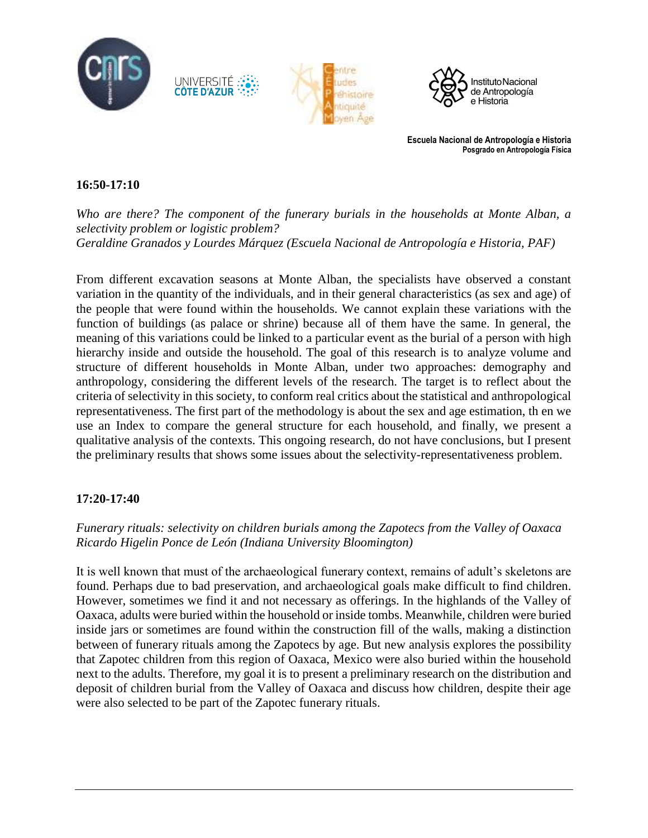

**Escuela Nacional de Antropología e Historia Posgrado en Antropología Física**

#### **16:50-17:10**

*Who are there? The component of the funerary burials in the households at Monte Alban, a selectivity problem or logistic problem? Geraldine Granados y Lourdes Márquez (Escuela Nacional de Antropología e Historia, PAF)*

From different excavation seasons at Monte Alban, the specialists have observed a constant variation in the quantity of the individuals, and in their general characteristics (as sex and age) of the people that were found within the households. We cannot explain these variations with the function of buildings (as palace or shrine) because all of them have the same. In general, the meaning of this variations could be linked to a particular event as the burial of a person with high hierarchy inside and outside the household. The goal of this research is to analyze volume and structure of different households in Monte Alban, under two approaches: demography and anthropology, considering the different levels of the research. The target is to reflect about the criteria of selectivity in this society, to conform real critics about the statistical and anthropological representativeness. The first part of the methodology is about the sex and age estimation, th en we use an Index to compare the general structure for each household, and finally, we present a qualitative analysis of the contexts. This ongoing research, do not have conclusions, but I present the preliminary results that shows some issues about the selectivity-representativeness problem.

#### **17:20-17:40**

#### *Funerary rituals: selectivity on children burials among the Zapotecs from the Valley of Oaxaca Ricardo Higelin Ponce de León (Indiana University Bloomington)*

It is well known that must of the archaeological funerary context, remains of adult's skeletons are found. Perhaps due to bad preservation, and archaeological goals make difficult to find children. However, sometimes we find it and not necessary as offerings. In the highlands of the Valley of Oaxaca, adults were buried within the household or inside tombs. Meanwhile, children were buried inside jars or sometimes are found within the construction fill of the walls, making a distinction between of funerary rituals among the Zapotecs by age. But new analysis explores the possibility that Zapotec children from this region of Oaxaca, Mexico were also buried within the household next to the adults. Therefore, my goal it is to present a preliminary research on the distribution and deposit of children burial from the Valley of Oaxaca and discuss how children, despite their age were also selected to be part of the Zapotec funerary rituals.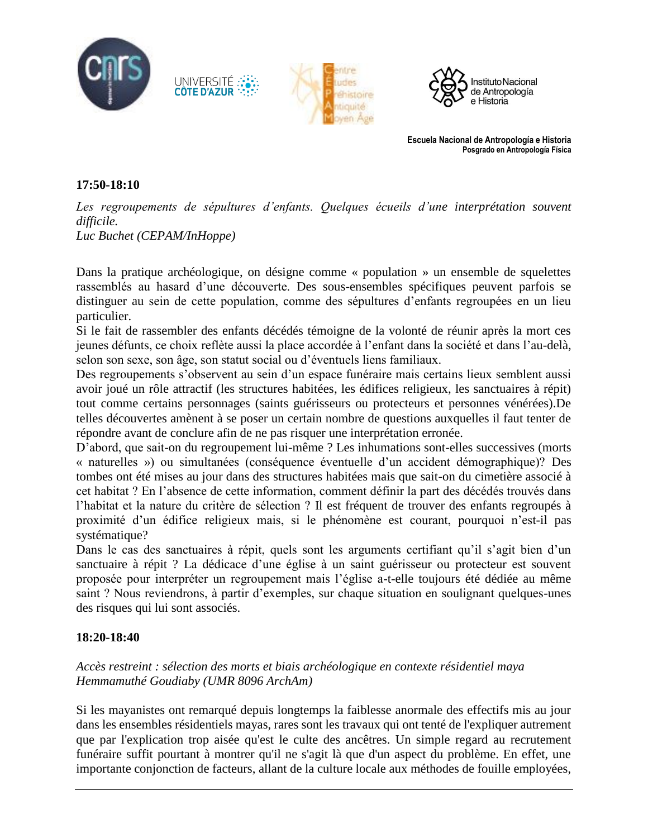





**Escuela Nacional de Antropología e Historia Posgrado en Antropología Física**

#### **17:50-18:10**

Les regroupements de sépultures d'enfants. Quelques écueils d'une interprétation souvent *difficile.*

*Luc Buchet (CEPAM/InHoppe)*

UNIVERSITÉ

Dans la pratique archéologique, on désigne comme « population » un ensemble de squelettes rassemblés au hasard d'une découverte. Des sous-ensembles spécifiques peuvent parfois se distinguer au sein de cette population, comme des sépultures d'enfants regroupées en un lieu particulier.

Si le fait de rassembler des enfants décédés témoigne de la volonté de réunir après la mort ces jeunes défunts, ce choix reflète aussi la place accordée à l'enfant dans la société et dans l'au-delà, selon son sexe, son âge, son statut social ou d'éventuels liens familiaux.

Des regroupements s'observent au sein d'un espace funéraire mais certains lieux semblent aussi avoir joué un rôle attractif (les structures habitées, les édifices religieux, les sanctuaires à répit) tout comme certains personnages (saints guérisseurs ou protecteurs et personnes vénérées).De telles découvertes amènent à se poser un certain nombre de questions auxquelles il faut tenter de répondre avant de conclure afin de ne pas risquer une interprétation erronée.

D'abord, que sait-on du regroupement lui-même ? Les inhumations sont-elles successives (morts « naturelles ») ou simultanées (conséquence éventuelle d'un accident démographique)? Des tombes ont été mises au jour dans des structures habitées mais que sait-on du cimetière associé à cet habitat ? En l'absence de cette information, comment définir la part des décédés trouvés dans l'habitat et la nature du critère de sélection ? Il est fréquent de trouver des enfants regroupés à proximité d'un édifice religieux mais, si le phénomène est courant, pourquoi n'est-il pas systématique?

Dans le cas des sanctuaires à répit, quels sont les arguments certifiant qu'il s'agit bien d'un sanctuaire à répit ? La dédicace d'une église à un saint guérisseur ou protecteur est souvent proposée pour interpréter un regroupement mais l'église a-t-elle toujours été dédiée au même saint ? Nous reviendrons, à partir d'exemples, sur chaque situation en soulignant quelques-unes des risques qui lui sont associés.

#### **18:20-18:40**

#### *Accès restreint : sélection des morts et biais archéologique en contexte résidentiel maya Hemmamuthé Goudiaby (UMR 8096 ArchAm)*

Si les mayanistes ont remarqué depuis longtemps la faiblesse anormale des effectifs mis au jour dans les ensembles résidentiels mayas, rares sont les travaux qui ont tenté de l'expliquer autrement que par l'explication trop aisée qu'est le culte des ancêtres. Un simple regard au recrutement funéraire suffit pourtant à montrer qu'il ne s'agit là que d'un aspect du problème. En effet, une importante conjonction de facteurs, allant de la culture locale aux méthodes de fouille employées,